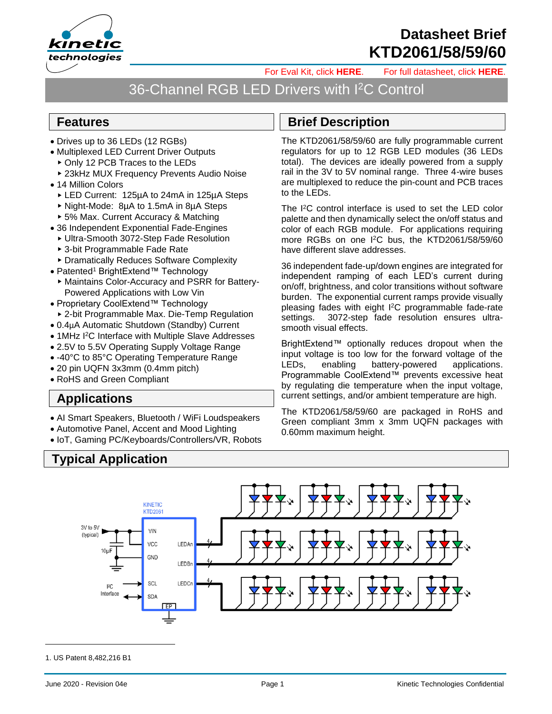1. US Patent 8,482,216 B1

# **Datasheet Brief KTD2061/58/59/60**

[For Eval Kit, click](https://www.kinet-ic.com/ktd2061euac-ev1/) **HERE**. [For full datasheet, click](https://www.kinet-ic.com/sample-buy/request-document/?part=KTD2061-58-59-60%20Full%20Datasheet) **HERE**.

## 36-Channel RGB LED Drivers with I<sup>2</sup>C Control

#### **Features**

- Drives up to 36 LEDs (12 RGBs)
- Multiplexed LED Current Driver Outputs
	- ▶ Only 12 PCB Traces to the LEDs
	- ▶ 23kHz MUX Frequency Prevents Audio Noise
- 14 Million Colors
	- LED Current: 125µA to 24mA in 125µA Steps
	- Night-Mode: 8µA to 1.5mA in 8µA Steps
	- ► 5% Max. Current Accuracy & Matching
- 36 Independent Exponential Fade-Engines
	- Ultra-Smooth 3072-Step Fade Resolution
	- 3-bit Programmable Fade Rate
	- Dramatically Reduces Software Complexity
- Patented<sup>1</sup> BrightExtend™ Technology
	- Maintains Color-Accuracy and PSRR for Battery-Powered Applications with Low Vin
- Proprietary CoolExtend™ Technology ▶ 2-bit Programmable Max. Die-Temp Regulation
- 0.4µA Automatic Shutdown (Standby) Current
- 1MHz I<sup>2</sup>C Interface with Multiple Slave Addresses
- 2.5V to 5.5V Operating Supply Voltage Range
- -40°C to 85°C Operating Temperature Range
- 20 pin UQFN 3x3mm (0.4mm pitch)
- RoHS and Green Compliant

**Typical Application**

#### **Applications**

- AI Smart Speakers, Bluetooth / WiFi Loudspeakers
- Automotive Panel, Accent and Mood Lighting
- IoT, Gaming PC/Keyboards/Controllers/VR, Robots

#### **Brief Description**

The KTD2061/58/59/60 are fully programmable current regulators for up to 12 RGB LED modules (36 LEDs total). The devices are ideally powered from a supply rail in the 3V to 5V nominal range. Three 4-wire buses are multiplexed to reduce the pin-count and PCB traces to the LEDs.

The I <sup>2</sup>C control interface is used to set the LED color palette and then dynamically select the on/off status and color of each RGB module. For applications requiring more RGBs on one I<sup>2</sup>C bus, the KTD2061/58/59/60 have different slave addresses.

36 independent fade-up/down engines are integrated for independent ramping of each LED's current during on/off, brightness, and color transitions without software burden. The exponential current ramps provide visually pleasing fades with eight I <sup>2</sup>C programmable fade-rate settings. 3072-step fade resolution ensures ultrasmooth visual effects.

BrightExtend™ optionally reduces dropout when the input voltage is too low for the forward voltage of the LEDs, enabling battery-powered applications. Programmable CoolExtend™ prevents excessive heat by regulating die temperature when the input voltage, current settings, and/or ambient temperature are high.

The KTD2061/58/59/60 are packaged in RoHS and Green compliant 3mm x 3mm UQFN packages with 0.60mm maximum height.